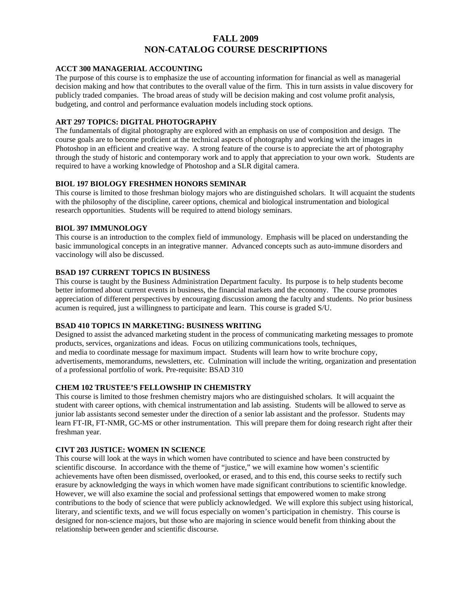# **FALL 2009 NON-CATALOG COURSE DESCRIPTIONS**

#### **ACCT 300 MANAGERIAL ACCOUNTING**

The purpose of this course is to emphasize the use of accounting information for financial as well as managerial decision making and how that contributes to the overall value of the firm. This in turn assists in value discovery for publicly traded companies. The broad areas of study will be decision making and cost volume profit analysis, budgeting, and control and performance evaluation models including stock options.

## **ART 297 TOPICS: DIGITAL PHOTOGRAPHY**

The fundamentals of digital photography are explored with an emphasis on use of composition and design. The course goals are to become proficient at the technical aspects of photography and working with the images in Photoshop in an efficient and creative way. A strong feature of the course is to appreciate the art of photography through the study of historic and contemporary work and to apply that appreciation to your own work. Students are required to have a working knowledge of Photoshop and a SLR digital camera.

## **BIOL 197 BIOLOGY FRESHMEN HONORS SEMINAR**

This course is limited to those freshman biology majors who are distinguished scholars. It will acquaint the students with the philosophy of the discipline, career options, chemical and biological instrumentation and biological research opportunities. Students will be required to attend biology seminars.

## **BIOL 397 IMMUNOLOGY**

This course is an introduction to the complex field of immunology. Emphasis will be placed on understanding the basic immunological concepts in an integrative manner. Advanced concepts such as auto-immune disorders and vaccinology will also be discussed.

## **BSAD 197 CURRENT TOPICS IN BUSINESS**

This course is taught by the Business Administration Department faculty. Its purpose is to help students become better informed about current events in business, the financial markets and the economy. The course promotes appreciation of different perspectives by encouraging discussion among the faculty and students. No prior business acumen is required, just a willingness to participate and learn. This course is graded S/U.

### **BSAD 410 TOPICS IN MARKETING: BUSINESS WRITING**

Designed to assist the advanced marketing student in the process of communicating marketing messages to promote products, services, organizations and ideas. Focus on utilizing communications tools, techniques, and media to coordinate message for maximum impact. Students will learn how to write brochure copy, advertisements, memorandums, newsletters, etc. Culmination will include the writing, organization and presentation of a professional portfolio of work. Pre-requisite: BSAD 310

# **CHEM 102 TRUSTEE'S FELLOWSHIP IN CHEMISTRY**

This course is limited to those freshmen chemistry majors who are distinguished scholars. It will acquaint the student with career options, with chemical instrumentation and lab assisting. Students will be allowed to serve as junior lab assistants second semester under the direction of a senior lab assistant and the professor. Students may learn FT-IR, FT-NMR, GC-MS or other instrumentation. This will prepare them for doing research right after their freshman year.

## **CIVT 203 JUSTICE: WOMEN IN SCIENCE**

This course will look at the ways in which women have contributed to science and have been constructed by scientific discourse. In accordance with the theme of "justice," we will examine how women's scientific achievements have often been dismissed, overlooked, or erased, and to this end, this course seeks to rectify such erasure by acknowledging the ways in which women have made significant contributions to scientific knowledge. However, we will also examine the social and professional settings that empowered women to make strong contributions to the body of science that were publicly acknowledged. We will explore this subject using historical, literary, and scientific texts, and we will focus especially on women's participation in chemistry. This course is designed for non-science majors, but those who are majoring in science would benefit from thinking about the relationship between gender and scientific discourse.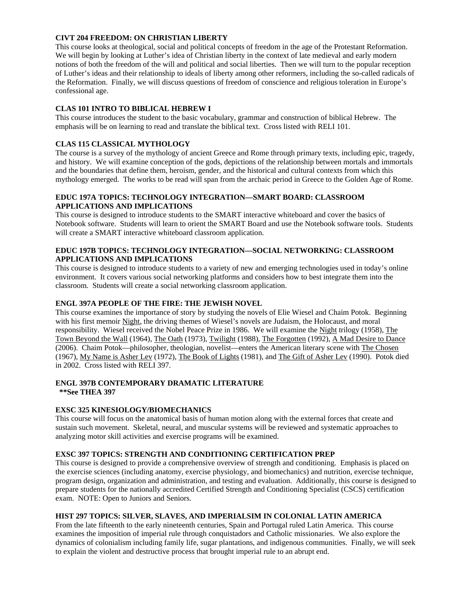## **CIVT 204 FREEDOM: ON CHRISTIAN LIBERTY**

This course looks at theological, social and political concepts of freedom in the age of the Protestant Reformation. We will begin by looking at Luther's idea of Christian liberty in the context of late medieval and early modern notions of both the freedom of the will and political and social liberties. Then we will turn to the popular reception of Luther's ideas and their relationship to ideals of liberty among other reformers, including the so-called radicals of the Reformation. Finally, we will discuss questions of freedom of conscience and religious toleration in Europe's confessional age.

## **CLAS 101 INTRO TO BIBLICAL HEBREW I**

This course introduces the student to the basic vocabulary, grammar and construction of biblical Hebrew. The emphasis will be on learning to read and translate the biblical text. Cross listed with RELI 101.

# **CLAS 115 CLASSICAL MYTHOLOGY**

The course is a survey of the mythology of ancient Greece and Rome through primary texts, including epic, tragedy, and history. We will examine conception of the gods, depictions of the relationship between mortals and immortals and the boundaries that define them, heroism, gender, and the historical and cultural contexts from which this mythology emerged. The works to be read will span from the archaic period in Greece to the Golden Age of Rome.

### **EDUC 197A TOPICS: TECHNOLOGY INTEGRATION—SMART BOARD: CLASSROOM APPLICATIONS AND IMPLICATIONS**

This course is designed to introduce students to the SMART interactive whiteboard and cover the basics of Notebook software. Students will learn to orient the SMART Board and use the Notebook software tools. Students will create a SMART interactive whiteboard classroom application.

#### **EDUC 197B TOPICS: TECHNOLOGY INTEGRATION—SOCIAL NETWORKING: CLASSROOM APPLICATIONS AND IMPLICATIONS**

This course is designed to introduce students to a variety of new and emerging technologies used in today's online environment. It covers various social networking platforms and considers how to best integrate them into the classroom. Students will create a social networking classroom application.

### **ENGL 397A PEOPLE OF THE FIRE: THE JEWISH NOVEL**

This course examines the importance of story by studying the novels of Elie Wiesel and Chaim Potok. Beginning with his first memoir Night, the driving themes of Wiesel's novels are Judaism, the Holocaust, and moral responsibility. Wiesel received the Nobel Peace Prize in 1986. We will examine the Night trilogy (1958), The Town Beyond the Wall (1964), The Oath (1973), Twilight (1988), The Forgotten (1992), A Mad Desire to Dance (2006). Chaim Potok—philosopher, theologian, novelist—enters the American literary scene with The Chosen (1967), My Name is Asher Lev (1972), The Book of Lights (1981), and The Gift of Asher Lev (1990). Potok died in 2002. Cross listed with RELI 397.

#### **ENGL 397B CONTEMPORARY DRAMATIC LITERATURE \*\*See THEA 397**

### **EXSC 325 KINESIOLOGY/BIOMECHANICS**

This course will focus on the anatomical basis of human motion along with the external forces that create and sustain such movement. Skeletal, neural, and muscular systems will be reviewed and systematic approaches to analyzing motor skill activities and exercise programs will be examined.

## **EXSC 397 TOPICS: STRENGTH AND CONDITIONING CERTIFICATION PREP**

This course is designed to provide a comprehensive overview of strength and conditioning. Emphasis is placed on the exercise sciences (including anatomy, exercise physiology, and biomechanics) and nutrition, exercise technique, program design, organization and administration, and testing and evaluation. Additionally, this course is designed to prepare students for the nationally accredited Certified Strength and Conditioning Specialist (CSCS) certification exam. NOTE: Open to Juniors and Seniors.

### **HIST 297 TOPICS: SILVER, SLAVES, AND IMPERIALSIM IN COLONIAL LATIN AMERICA**

From the late fifteenth to the early nineteenth centuries, Spain and Portugal ruled Latin America. This course examines the imposition of imperial rule through conquistadors and Catholic missionaries. We also explore the dynamics of colonialism including family life, sugar plantations, and indigenous communities. Finally, we will seek to explain the violent and destructive process that brought imperial rule to an abrupt end.